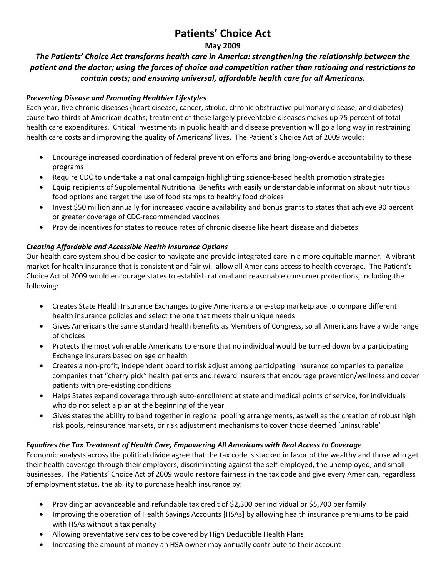# **Patients' Choice Act**

#### **May 2009**

### *The Patients' Choice Act transforms health care in America: strengthening the relationship between the patient and the doctor; using the forces of choice and competition rather than rationing and restrictions to contain costs; and ensuring universal, affordable health care for all Americans.*

#### *Preventing Disease and Promoting Healthier Lifestyles*

Each year, five chronic diseases (heart disease, cancer, stroke, chronic obstructive pulmonary disease, and diabetes) cause two-thirds of American deaths; treatment of these largely preventable diseases makes up 75 percent of total health care expenditures. Critical investments in public health and disease prevention will go a long way in restraining health care costs and improving the quality of Americans' lives. The Patient's Choice Act of 2009 would:

- Encourage increased coordination of federal prevention efforts and bring long‐overdue accountability to these programs
- Require CDC to undertake a national campaign highlighting science‐based health promotion strategies
- Equip recipients of Supplemental Nutritional Benefits with easily understandable information about nutritious food options and target the use of food stamps to healthy food choices
- Invest \$50 million annually for increased vaccine availability and bonus grants to states that achieve 90 percent or greater coverage of CDC‐recommended vaccines
- Provide incentives for states to reduce rates of chronic disease like heart disease and diabetes

#### *Creating Affordable and Accessible Health Insurance Options*

Our health care system should be easier to navigate and provide integrated care in a more equitable manner. A vibrant market for health insurance that is consistent and fair will allow all Americans access to health coverage. The Patient's Choice Act of 2009 would encourage states to establish rational and reasonable consumer protections, including the following:

- Creates State Health Insurance Exchanges to give Americans a one‐stop marketplace to compare different health insurance policies and select the one that meets their unique needs
- Gives Americans the same standard health benefits as Members of Congress, so all Americans have a wide range of choices
- Protects the most vulnerable Americans to ensure that no individual would be turned down by a participating Exchange insurers based on age or health
- Creates a non‐profit, independent board to risk adjust among participating insurance companies to penalize companies that "cherry pick" health patients and reward insurers that encourage prevention/wellness and cover patients with pre‐existing conditions
- Helps States expand coverage through auto‐enrollment at state and medical points of service, for individuals who do not select a plan at the beginning of the year
- Gives states the ability to band together in regional pooling arrangements, as well as the creation of robust high risk pools, reinsurance markets, or risk adjustment mechanisms to cover those deemed 'uninsurable'

#### *Equalizes the Tax Treatment of Health Care, Empowering All Americans with Real Access to Coverage*

Economic analysts across the political divide agree that the tax code is stacked in favor of the wealthy and those who get their health coverage through their employers, discriminating against the self-employed, the unemployed, and small businesses. The Patients' Choice Act of 2009 would restore fairness in the tax code and give every American, regardless of employment status, the ability to purchase health insurance by:

- Providing an advanceable and refundable tax credit of \$2,300 per individual or \$5,700 per family
- Improving the operation of Health Savings Accounts [HSAs] by allowing health insurance premiums to be paid with HSAs without a tax penalty
- Allowing preventative services to be covered by High Deductible Health Plans
- Increasing the amount of money an HSA owner may annually contribute to their account